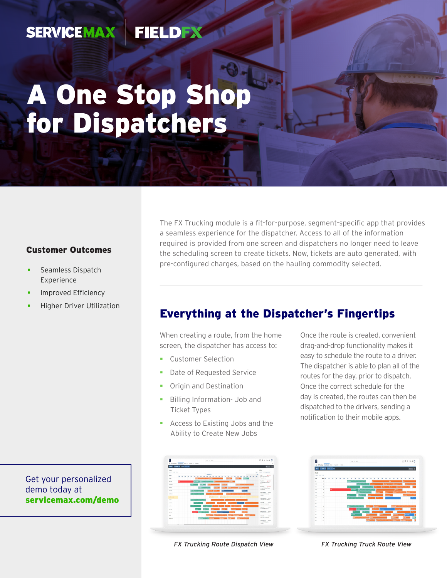#### FIELDEX **SERVICEMAX**

# A One Stop Shop for Dispatchers

### Customer Outcomes

- Seamless Dispatch Experience
- Improved Efficiency
- Higher Driver Utilization

The FX Trucking module is a fit-for-purpose, segment-specific app that provides a seamless experience for the dispatcher. Access to all of the information required is provided from one screen and dispatchers no longer need to leave the scheduling screen to create tickets. Now, tickets are auto generated, with pre-configured charges, based on the hauling commodity selected.

## Everything at the Dispatcher's Fingertips

When creating a route, from the home screen, the dispatcher has access to:

- Customer Selection
- Date of Requested Service
- **•** Origin and Destination
- **Billing Information- Job and** Ticket Types
- **Access to Existing Jobs and the** Ability to Create New Jobs

Once the route is created, convenient drag-and-drop functionality makes it easy to schedule the route to a driver. The dispatcher is able to plan all of the routes for the day, prior to dispatch. Once the correct schedule for the day is created, the routes can then be dispatched to the drivers, sending a notification to their mobile apps.

| F.                             |                               | E RTuddy Mediato Net + Scient v Gred v | $x + 4$ Seb.                 |                |                                   |               |                             | 0.001088                           |               |
|--------------------------------|-------------------------------|----------------------------------------|------------------------------|----------------|-----------------------------------|---------------|-----------------------------|------------------------------------|---------------|
|                                | <b>RAD CANEL</b> SALE for the |                                        |                              |                |                                   |               |                             | $\overline{1}$ (mm) $\overline{1}$ |               |
| <b>Tucks</b><br>South Sold Sec |                               |                                        |                              |                |                                   |               |                             |                                    |               |
| $\sim$                         | to be                         |                                        |                              |                |                                   |               | u<br>y.                     |                                    |               |
| $\mathcal{L}$                  |                               |                                        | 222000000                    |                |                                   |               |                             |                                    |               |
| $\mathbf{r}$                   | v                             |                                        | <b>SMANN</b>                 | 33 ISB         | <b>Service</b>                    | بحبحه         | <b><i><u>Spiral</u></i></b> | וניי                               |               |
| $\mathcal{L}$                  | ×                             |                                        | ines.                        | æt             |                                   | --            | $\sim$<br>٠                 |                                    |               |
| $\mathbf{r}$                   | ×                             |                                        | 233<br><b>Norman</b>         |                |                                   |               | <b>SHANN</b>                |                                    |               |
| $\mathbf{r}$                   | ٠                             |                                        | <b>NO</b>                    |                | Selve k                           | lee3<br>_     |                             |                                    |               |
| $\mathcal{L}$                  | $\alpha$                      |                                        | <b>RAFAN</b><br>≂            | ing Na         |                                   | adverter.     |                             | ,,,,,,                             |               |
| $\mathbf{r}$                   | w                             |                                        | <b>PIRAMINININININ</b>       |                | <b>Ballie</b><br><b>Secretary</b> | ш             |                             |                                    | <b>Self</b>   |
| $\pi$                          |                               |                                        |                              |                |                                   |               |                             |                                    |               |
| $\mathbf{r}$                   |                               |                                        |                              |                |                                   |               |                             |                                    |               |
| $\mathbf{r}$                   | ×                             |                                        | muntan                       | <b>Section</b> | <b>STATISTICS</b>                 |               | $\rightarrow$               |                                    |               |
| $\mathcal{L}$                  | $\sim$                        |                                        | <b>BAGN</b><br><b>GANADE</b> |                |                                   | <b>Andrew</b> | <b>Service</b>              |                                    | 200205        |
| $\mathcal{L}$                  | w                             |                                        | -                            | 331            | ing No.                           | 14.43         | <b>Mileston</b>             |                                    | <b>Select</b> |
| $\mathcal{L}$                  | $\mathbb{R}$                  |                                        | debran.                      | - -            |                                   | <b>Index</b>  | <b>The Corporation</b>      | <b>Secretary</b>                   |               |
| $\mathbf{r}$                   | $\mathbf{v}$                  |                                        | ۰                            |                | <b>Tuesday</b>                    |               | e teşti                     |                                    | Y.            |
| $\mathcal{L}$                  | $\alpha$                      |                                        |                              | m              |                                   |               |                             |                                    |               |

demo today at [servicemax.com/demo](http://servicemax.com/demo)

Get your personalized



*FX Trucking Route Dispatch View FX Trucking Truck Route View*

<u>mm</u>